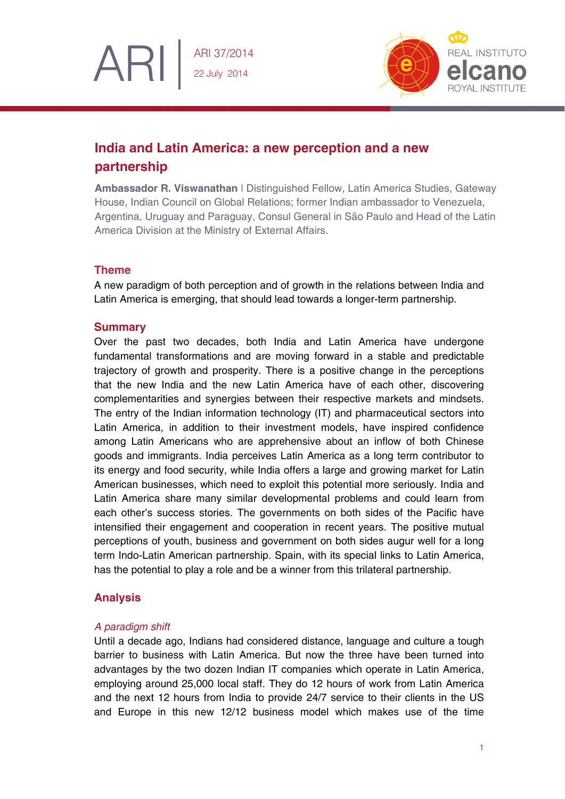

# **India and Latin America: a new perception and a new partnership**

**Ambassador R. Viswanathan** | Distinguished Fellow, Latin America Studies, Gateway House, Indian Council on Global Relations; former Indian ambassador to Venezuela, Argentina, Uruguay and Paraguay, Consul General in São Paulo and Head of the Latin America Division at the Ministry of External Affairs.

## **Theme**

ARI

A new paradigm of both perception and of growth in the relations between India and Latin America is emerging, that should lead towards a longer-term partnership.

### **Summary**

Over the past two decades, both India and Latin America have undergone fundamental transformations and are moving forward in a stable and predictable trajectory of growth and prosperity. There is a positive change in the perceptions that the new India and the new Latin America have of each other, discovering complementarities and synergies between their respective markets and mindsets. The entry of the Indian information technology (IT) and pharmaceutical sectors into Latin America, in addition to their investment models, have inspired confidence among Latin Americans who are apprehensive about an inflow of both Chinese goods and immigrants. India perceives Latin America as a long term contributor to its energy and food security, while India offers a large and growing market for Latin American businesses, which need to exploit this potential more seriously. India and Latin America share many similar developmental problems and could learn from each other's success stories. The governments on both sides of the Pacific have intensified their engagement and cooperation in recent years. The positive mutual perceptions of youth, business and government on both sides augur well for a long term Indo-Latin American partnership. Spain, with its special links to Latin America, has the potential to play a role and be a winner from this trilateral partnership.

# **Analysis**

### *A paradigm shift*

Until a decade ago, Indians had considered distance, language and culture a tough barrier to business with Latin America. But now the three have been turned into advantages by the two dozen Indian IT companies which operate in Latin America, employing around 25,000 local staff. They do 12 hours of work from Latin America and the next 12 hours from India to provide 24/7 service to their clients in the US and Europe in this new 12/12 business model which makes use of the time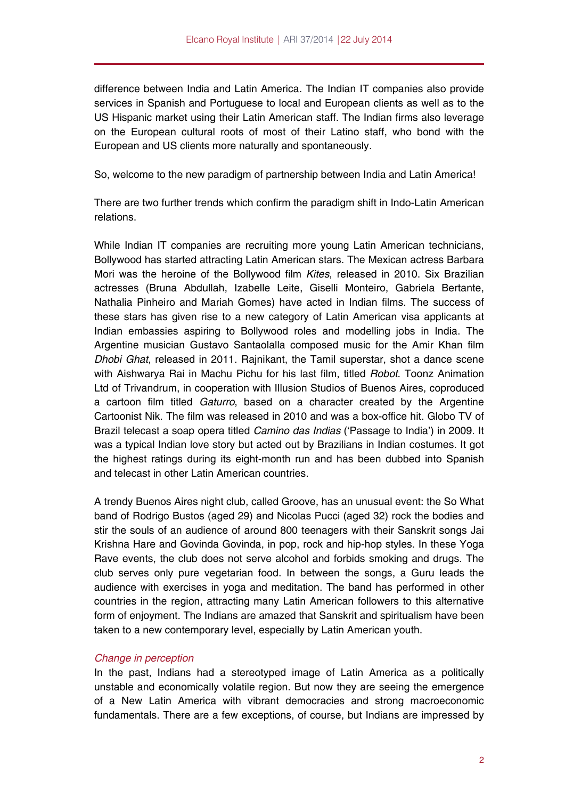difference between India and Latin America. The Indian IT companies also provide services in Spanish and Portuguese to local and European clients as well as to the US Hispanic market using their Latin American staff. The Indian firms also leverage on the European cultural roots of most of their Latino staff, who bond with the European and US clients more naturally and spontaneously.

So, welcome to the new paradigm of partnership between India and Latin America!

There are two further trends which confirm the paradigm shift in Indo-Latin American relations.

While Indian IT companies are recruiting more young Latin American technicians, Bollywood has started attracting Latin American stars. The Mexican actress Barbara Mori was the heroine of the Bollywood film *Kites*, released in 2010. Six Brazilian actresses (Bruna Abdullah, Izabelle Leite, Giselli Monteiro, Gabriela Bertante, Nathalia Pinheiro and Mariah Gomes) have acted in Indian films. The success of these stars has given rise to a new category of Latin American visa applicants at Indian embassies aspiring to Bollywood roles and modelling jobs in India. The Argentine musician Gustavo Santaolalla composed music for the Amir Khan film *Dhobi Ghat*, released in 2011. Rajnikant, the Tamil superstar, shot a dance scene with Aishwarya Rai in Machu Pichu for his last film, titled *Robot*. Toonz Animation Ltd of Trivandrum, in cooperation with Illusion Studios of Buenos Aires, coproduced a cartoon film titled *Gaturro*, based on a character created by the Argentine Cartoonist Nik. The film was released in 2010 and was a box-office hit. Globo TV of Brazil telecast a soap opera titled *Camino das Indias* ('Passage to India') in 2009. It was a typical Indian love story but acted out by Brazilians in Indian costumes. It got the highest ratings during its eight-month run and has been dubbed into Spanish and telecast in other Latin American countries.

A trendy Buenos Aires night club, called Groove, has an unusual event: the So What band of Rodrigo Bustos (aged 29) and Nicolas Pucci (aged 32) rock the bodies and stir the souls of an audience of around 800 teenagers with their Sanskrit songs Jai Krishna Hare and Govinda Govinda, in pop, rock and hip-hop styles. In these Yoga Rave events, the club does not serve alcohol and forbids smoking and drugs. The club serves only pure vegetarian food. In between the songs, a Guru leads the audience with exercises in yoga and meditation. The band has performed in other countries in the region, attracting many Latin American followers to this alternative form of enjoyment. The Indians are amazed that Sanskrit and spiritualism have been taken to a new contemporary level, especially by Latin American youth.

# *Change in perception*

In the past, Indians had a stereotyped image of Latin America as a politically unstable and economically volatile region. But now they are seeing the emergence of a New Latin America with vibrant democracies and strong macroeconomic fundamentals. There are a few exceptions, of course, but Indians are impressed by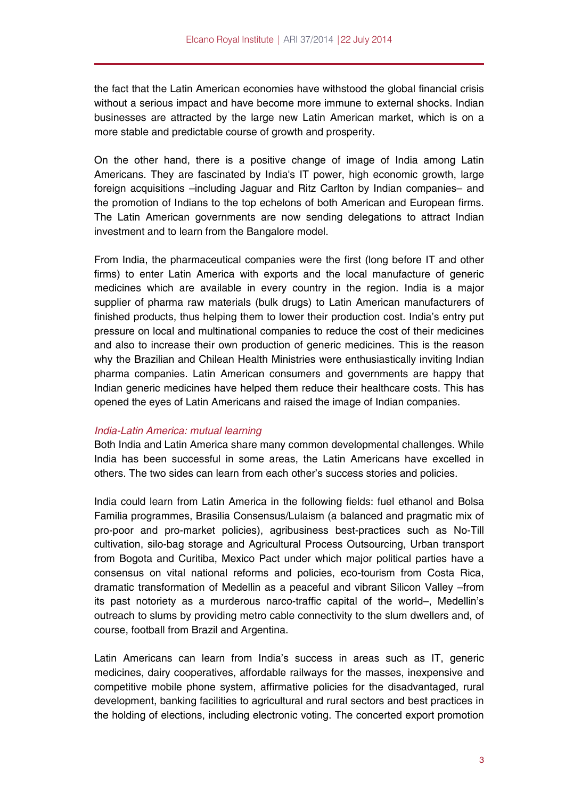the fact that the Latin American economies have withstood the global financial crisis without a serious impact and have become more immune to external shocks. Indian businesses are attracted by the large new Latin American market, which is on a more stable and predictable course of growth and prosperity.

On the other hand, there is a positive change of image of India among Latin Americans. They are fascinated by India's IT power, high economic growth, large foreign acquisitions –including Jaguar and Ritz Carlton by Indian companies– and the promotion of Indians to the top echelons of both American and European firms. The Latin American governments are now sending delegations to attract Indian investment and to learn from the Bangalore model.

From India, the pharmaceutical companies were the first (long before IT and other firms) to enter Latin America with exports and the local manufacture of generic medicines which are available in every country in the region. India is a major supplier of pharma raw materials (bulk drugs) to Latin American manufacturers of finished products, thus helping them to lower their production cost. India's entry put pressure on local and multinational companies to reduce the cost of their medicines and also to increase their own production of generic medicines. This is the reason why the Brazilian and Chilean Health Ministries were enthusiastically inviting Indian pharma companies. Latin American consumers and governments are happy that Indian generic medicines have helped them reduce their healthcare costs. This has opened the eyes of Latin Americans and raised the image of Indian companies.

### *India-Latin America: mutual learning*

Both India and Latin America share many common developmental challenges. While India has been successful in some areas, the Latin Americans have excelled in others. The two sides can learn from each other's success stories and policies.

India could learn from Latin America in the following fields: fuel ethanol and Bolsa Familia programmes, Brasilia Consensus/Lulaism (a balanced and pragmatic mix of pro-poor and pro-market policies), agribusiness best-practices such as No-Till cultivation, silo-bag storage and Agricultural Process Outsourcing, Urban transport from Bogota and Curitiba, Mexico Pact under which major political parties have a consensus on vital national reforms and policies, eco-tourism from Costa Rica, dramatic transformation of Medellin as a peaceful and vibrant Silicon Valley –from its past notoriety as a murderous narco-traffic capital of the world–, Medellin's outreach to slums by providing metro cable connectivity to the slum dwellers and, of course, football from Brazil and Argentina.

Latin Americans can learn from India's success in areas such as IT, generic medicines, dairy cooperatives, affordable railways for the masses, inexpensive and competitive mobile phone system, affirmative policies for the disadvantaged, rural development, banking facilities to agricultural and rural sectors and best practices in the holding of elections, including electronic voting. The concerted export promotion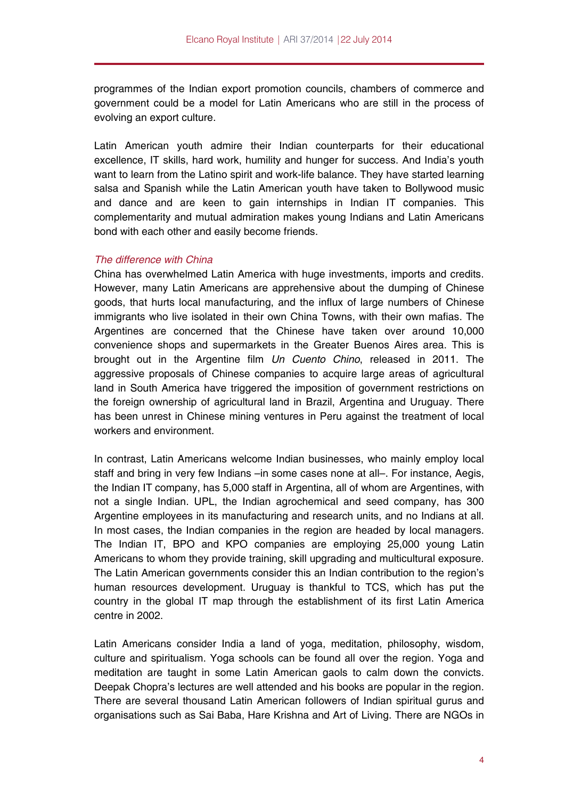programmes of the Indian export promotion councils, chambers of commerce and government could be a model for Latin Americans who are still in the process of evolving an export culture.

Latin American youth admire their Indian counterparts for their educational excellence, IT skills, hard work, humility and hunger for success. And India's youth want to learn from the Latino spirit and work-life balance. They have started learning salsa and Spanish while the Latin American youth have taken to Bollywood music and dance and are keen to gain internships in Indian IT companies. This complementarity and mutual admiration makes young Indians and Latin Americans bond with each other and easily become friends.

# *The difference with China*

China has overwhelmed Latin America with huge investments, imports and credits. However, many Latin Americans are apprehensive about the dumping of Chinese goods, that hurts local manufacturing, and the influx of large numbers of Chinese immigrants who live isolated in their own China Towns, with their own mafias. The Argentines are concerned that the Chinese have taken over around 10,000 convenience shops and supermarkets in the Greater Buenos Aires area. This is brought out in the Argentine film *Un Cuento Chino*, released in 2011. The aggressive proposals of Chinese companies to acquire large areas of agricultural land in South America have triggered the imposition of government restrictions on the foreign ownership of agricultural land in Brazil, Argentina and Uruguay. There has been unrest in Chinese mining ventures in Peru against the treatment of local workers and environment.

In contrast, Latin Americans welcome Indian businesses, who mainly employ local staff and bring in very few Indians –in some cases none at all–. For instance, Aegis, the Indian IT company, has 5,000 staff in Argentina, all of whom are Argentines, with not a single Indian. UPL, the Indian agrochemical and seed company, has 300 Argentine employees in its manufacturing and research units, and no Indians at all. In most cases, the Indian companies in the region are headed by local managers. The Indian IT, BPO and KPO companies are employing 25,000 young Latin Americans to whom they provide training, skill upgrading and multicultural exposure. The Latin American governments consider this an Indian contribution to the region's human resources development. Uruguay is thankful to TCS, which has put the country in the global IT map through the establishment of its first Latin America centre in 2002.

Latin Americans consider India a land of yoga, meditation, philosophy, wisdom, culture and spiritualism. Yoga schools can be found all over the region. Yoga and meditation are taught in some Latin American gaols to calm down the convicts. Deepak Chopra's lectures are well attended and his books are popular in the region. There are several thousand Latin American followers of Indian spiritual gurus and organisations such as Sai Baba, Hare Krishna and Art of Living. There are NGOs in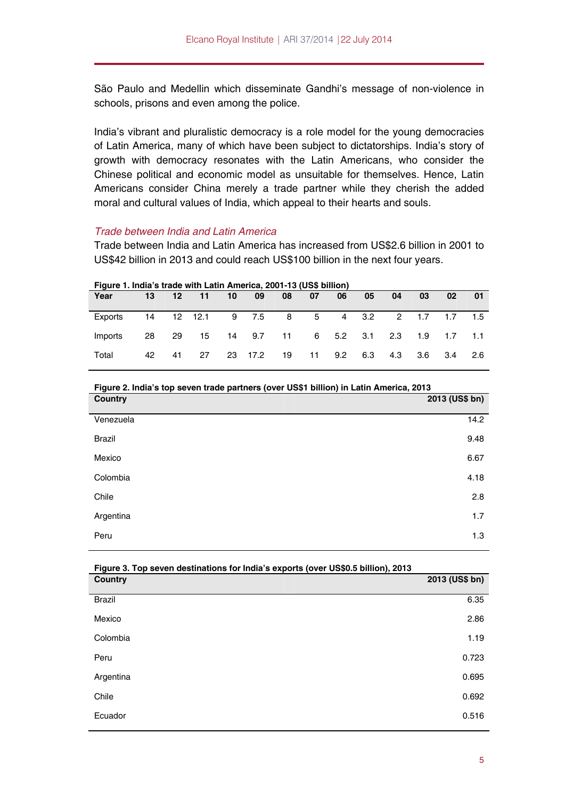São Paulo and Medellin which disseminate Gandhi's message of non-violence in schools, prisons and even among the police.

India's vibrant and pluralistic democracy is a role model for the young democracies of Latin America, many of which have been subject to dictatorships. India's story of growth with democracy resonates with the Latin Americans, who consider the Chinese political and economic model as unsuitable for themselves. Hence, Latin Americans consider China merely a trade partner while they cherish the added moral and cultural values of India, which appeal to their hearts and souls.

### *Trade between India and Latin America*

Trade between India and Latin America has increased from US\$2.6 billion in 2001 to US\$42 billion in 2013 and could reach US\$100 billion in the next four years.

| Year    | 13 | 12   | 11 | 10 | 09        | 08 | 07         | 06     | 05          | 04  | 03      | 02                    | 01  |
|---------|----|------|----|----|-----------|----|------------|--------|-------------|-----|---------|-----------------------|-----|
| Exports |    |      |    |    |           | 8  |            |        |             |     |         | 5 4 3.2 2 1.7 1.7 1.5 |     |
| Imports | 28 | - 29 | 15 |    | 14 9.7 11 |    | $6 \qquad$ |        | $5.2$ $3.1$ | 2.3 | 1.9 1.7 |                       | 1.1 |
| Total   | 42 | 41   | 27 |    | 23 17.2   | 19 |            | 11 9.2 | 6.3         | 4.3 | 3.6     | -3.4                  | 2.6 |

**Figure 1. India's trade with Latin America, 2001-13 (US\$ billion)** 

#### **Figure 2. India's top seven trade partners (over US\$1 billion) in Latin America, 2013**

| <b>Country</b> | 2013 (US\$ bn) |
|----------------|----------------|
| Venezuela      | 14.2           |
| <b>Brazil</b>  | 9.48           |
| Mexico         | 6.67           |
| Colombia       | 4.18           |
| Chile          | 2.8            |
| Argentina      | 1.7            |
| Peru           | 1.3            |

| Figure 3. Top seven destinations for India's exports (over US\$0.5 billion), 2013 |                |  |  |  |
|-----------------------------------------------------------------------------------|----------------|--|--|--|
| <b>Country</b>                                                                    | 2013 (US\$ bn) |  |  |  |
| <b>Brazil</b>                                                                     | 6.35           |  |  |  |
| Mexico                                                                            | 2.86           |  |  |  |
| Colombia                                                                          | 1.19           |  |  |  |
| Peru                                                                              | 0.723          |  |  |  |
| Argentina                                                                         | 0.695          |  |  |  |
| Chile                                                                             | 0.692          |  |  |  |
| Ecuador                                                                           | 0.516          |  |  |  |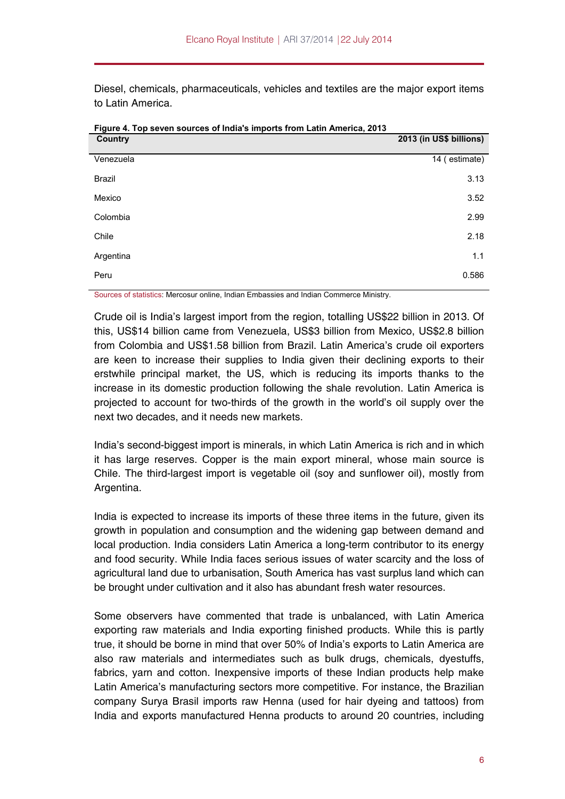Diesel, chemicals, pharmaceuticals, vehicles and textiles are the major export items to Latin America.

| <b>Country</b> | 2013 (in US\$ billions) |
|----------------|-------------------------|
| Venezuela      | 14 (estimate)           |
| <b>Brazil</b>  | 3.13                    |
| Mexico         | 3.52                    |
| Colombia       | 2.99                    |
| Chile          | 2.18                    |
| Argentina      | 1.1                     |
| Peru           | 0.586                   |

**Figure 4. Top seven sources of India's imports from Latin America, 2013** 

Sources of statistics: Mercosur online, Indian Embassies and Indian Commerce Ministry.

Crude oil is India's largest import from the region, totalling US\$22 billion in 2013. Of this, US\$14 billion came from Venezuela, US\$3 billion from Mexico, US\$2.8 billion from Colombia and US\$1.58 billion from Brazil. Latin America's crude oil exporters are keen to increase their supplies to India given their declining exports to their erstwhile principal market, the US, which is reducing its imports thanks to the increase in its domestic production following the shale revolution. Latin America is projected to account for two-thirds of the growth in the world's oil supply over the next two decades, and it needs new markets.

India's second-biggest import is minerals, in which Latin America is rich and in which it has large reserves. Copper is the main export mineral, whose main source is Chile. The third-largest import is vegetable oil (soy and sunflower oil), mostly from Argentina.

India is expected to increase its imports of these three items in the future, given its growth in population and consumption and the widening gap between demand and local production. India considers Latin America a long-term contributor to its energy and food security. While India faces serious issues of water scarcity and the loss of agricultural land due to urbanisation, South America has vast surplus land which can be brought under cultivation and it also has abundant fresh water resources.

Some observers have commented that trade is unbalanced, with Latin America exporting raw materials and India exporting finished products. While this is partly true, it should be borne in mind that over 50% of India's exports to Latin America are also raw materials and intermediates such as bulk drugs, chemicals, dyestuffs, fabrics, yarn and cotton. Inexpensive imports of these Indian products help make Latin America's manufacturing sectors more competitive. For instance, the Brazilian company Surya Brasil imports raw Henna (used for hair dyeing and tattoos) from India and exports manufactured Henna products to around 20 countries, including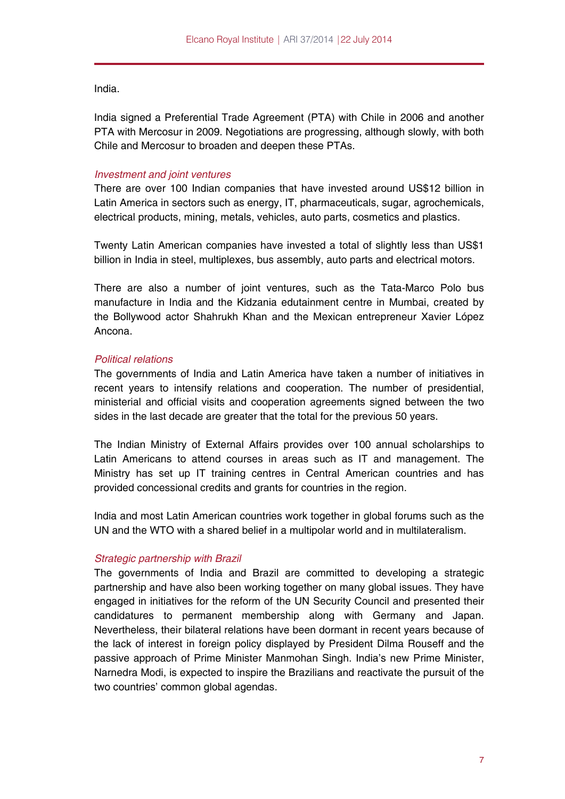India.

India signed a Preferential Trade Agreement (PTA) with Chile in 2006 and another PTA with Mercosur in 2009. Negotiations are progressing, although slowly, with both Chile and Mercosur to broaden and deepen these PTAs.

### *Investment and joint ventures*

There are over 100 Indian companies that have invested around US\$12 billion in Latin America in sectors such as energy, IT, pharmaceuticals, sugar, agrochemicals, electrical products, mining, metals, vehicles, auto parts, cosmetics and plastics.

Twenty Latin American companies have invested a total of slightly less than US\$1 billion in India in steel, multiplexes, bus assembly, auto parts and electrical motors.

There are also a number of joint ventures, such as the Tata-Marco Polo bus manufacture in India and the Kidzania edutainment centre in Mumbai, created by the Bollywood actor Shahrukh Khan and the Mexican entrepreneur Xavier López Ancona.

### *Political relations*

The governments of India and Latin America have taken a number of initiatives in recent years to intensify relations and cooperation. The number of presidential, ministerial and official visits and cooperation agreements signed between the two sides in the last decade are greater that the total for the previous 50 years.

The Indian Ministry of External Affairs provides over 100 annual scholarships to Latin Americans to attend courses in areas such as IT and management. The Ministry has set up IT training centres in Central American countries and has provided concessional credits and grants for countries in the region.

India and most Latin American countries work together in global forums such as the UN and the WTO with a shared belief in a multipolar world and in multilateralism.

### *Strategic partnership with Brazil*

The governments of India and Brazil are committed to developing a strategic partnership and have also been working together on many global issues. They have engaged in initiatives for the reform of the UN Security Council and presented their candidatures to permanent membership along with Germany and Japan. Nevertheless, their bilateral relations have been dormant in recent years because of the lack of interest in foreign policy displayed by President Dilma Rouseff and the passive approach of Prime Minister Manmohan Singh. India's new Prime Minister, Narnedra Modi, is expected to inspire the Brazilians and reactivate the pursuit of the two countries' common global agendas.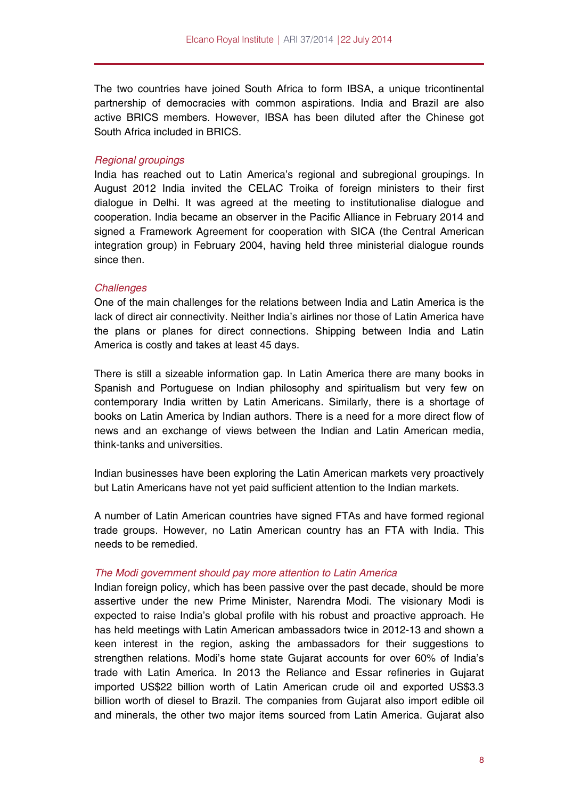The two countries have joined South Africa to form IBSA, a unique tricontinental partnership of democracies with common aspirations. India and Brazil are also active BRICS members. However, IBSA has been diluted after the Chinese got South Africa included in BRICS.

### *Regional groupings*

India has reached out to Latin America's regional and subregional groupings. In August 2012 India invited the CELAC Troika of foreign ministers to their first dialogue in Delhi. It was agreed at the meeting to institutionalise dialogue and cooperation. India became an observer in the Pacific Alliance in February 2014 and signed a Framework Agreement for cooperation with SICA (the Central American integration group) in February 2004, having held three ministerial dialogue rounds since then.

### *Challenges*

One of the main challenges for the relations between India and Latin America is the lack of direct air connectivity. Neither India's airlines nor those of Latin America have the plans or planes for direct connections. Shipping between India and Latin America is costly and takes at least 45 days.

There is still a sizeable information gap. In Latin America there are many books in Spanish and Portuguese on Indian philosophy and spiritualism but very few on contemporary India written by Latin Americans. Similarly, there is a shortage of books on Latin America by Indian authors. There is a need for a more direct flow of news and an exchange of views between the Indian and Latin American media, think-tanks and universities.

Indian businesses have been exploring the Latin American markets very proactively but Latin Americans have not yet paid sufficient attention to the Indian markets.

A number of Latin American countries have signed FTAs and have formed regional trade groups. However, no Latin American country has an FTA with India. This needs to be remedied.

### *The Modi government should pay more attention to Latin America*

Indian foreign policy, which has been passive over the past decade, should be more assertive under the new Prime Minister, Narendra Modi. The visionary Modi is expected to raise India's global profile with his robust and proactive approach. He has held meetings with Latin American ambassadors twice in 2012-13 and shown a keen interest in the region, asking the ambassadors for their suggestions to strengthen relations. Modi's home state Gujarat accounts for over 60% of India's trade with Latin America. In 2013 the Reliance and Essar refineries in Gujarat imported US\$22 billion worth of Latin American crude oil and exported US\$3.3 billion worth of diesel to Brazil. The companies from Gujarat also import edible oil and minerals, the other two major items sourced from Latin America. Gujarat also